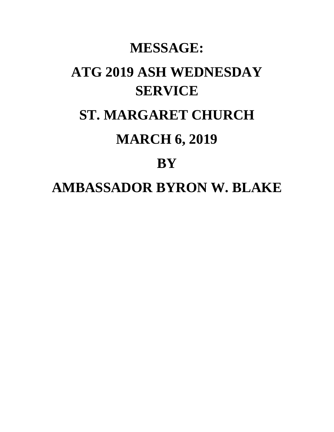## **MESSAGE: ATG 2019 ASH WEDNESDAY SERVICE ST. MARGARET CHURCH MARCH 6, 2019 BY AMBASSADOR BYRON W. BLAKE**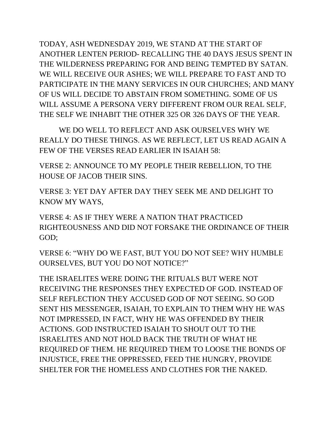TODAY, ASH WEDNESDAY 2019, WE STAND AT THE START OF ANOTHER LENTEN PERIOD- RECALLING THE 40 DAYS JESUS SPENT IN THE WILDERNESS PREPARING FOR AND BEING TEMPTED BY SATAN. WE WILL RECEIVE OUR ASHES; WE WILL PREPARE TO FAST AND TO PARTICIPATE IN THE MANY SERVICES IN OUR CHURCHES; AND MANY OF US WILL DECIDE TO ABSTAIN FROM SOMETHING. SOME OF US WILL ASSUME A PERSONA VERY DIFFERENT FROM OUR REAL SELF, THE SELF WE INHABIT THE OTHER 325 OR 326 DAYS OF THE YEAR.

WE DO WELL TO REFLECT AND ASK OURSELVES WHY WE REALLY DO THESE THINGS. AS WE REFLECT, LET US READ AGAIN A FEW OF THE VERSES READ EARLIER IN ISAIAH 58:

VERSE 2: ANNOUNCE TO MY PEOPLE THEIR REBELLION, TO THE HOUSE OF JACOB THEIR SINS.

VERSE 3: YET DAY AFTER DAY THEY SEEK ME AND DELIGHT TO KNOW MY WAYS,

VERSE 4: AS IF THEY WERE A NATION THAT PRACTICED RIGHTEOUSNESS AND DID NOT FORSAKE THE ORDINANCE OF THEIR GOD;

VERSE 6: "WHY DO WE FAST, BUT YOU DO NOT SEE? WHY HUMBLE OURSELVES, BUT YOU DO NOT NOTICE?"

THE ISRAELITES WERE DOING THE RITUALS BUT WERE NOT RECEIVING THE RESPONSES THEY EXPECTED OF GOD. INSTEAD OF SELF REFLECTION THEY ACCUSED GOD OF NOT SEEING. SO GOD SENT HIS MESSENGER, ISAIAH, TO EXPLAIN TO THEM WHY HE WAS NOT IMPRESSED, IN FACT, WHY HE WAS OFFENDED BY THEIR ACTIONS. GOD INSTRUCTED ISAIAH TO SHOUT OUT TO THE ISRAELITES AND NOT HOLD BACK THE TRUTH OF WHAT HE REQUIRED OF THEM. HE REQUIRED THEM TO LOOSE THE BONDS OF INJUSTICE, FREE THE OPPRESSED, FEED THE HUNGRY, PROVIDE SHELTER FOR THE HOMELESS AND CLOTHES FOR THE NAKED.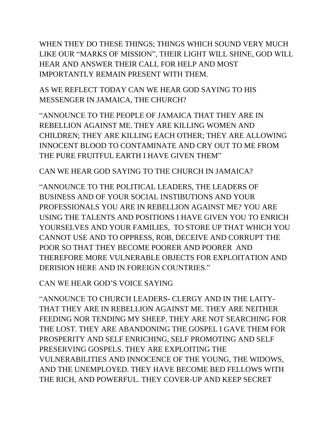WHEN THEY DO THESE THINGS; THINGS WHICH SOUND VERY MUCH LIKE OUR "MARKS OF MISSION", THEIR LIGHT WILL SHINE, GOD WILL HEAR AND ANSWER THEIR CALL FOR HELP AND MOST IMPORTANTLY REMAIN PRESENT WITH THEM.

AS WE REFLECT TODAY CAN WE HEAR GOD SAYING TO HIS MESSENGER IN JAMAICA, THE CHURCH?

"ANNOUNCE TO THE PEOPLE OF JAMAICA THAT THEY ARE IN REBELLION AGAINST ME. THEY ARE KILLING WOMEN AND CHILDREN; THEY ARE KILLING EACH OTHER; THEY ARE ALLOWING INNOCENT BLOOD TO CONTAMINATE AND CRY OUT TO ME FROM THE PURE FRUITFUL EARTH I HAVE GIVEN THEM"

CAN WE HEAR GOD SAYING TO THE CHURCH IN JAMAICA?

"ANNOUNCE TO THE POLITICAL LEADERS, THE LEADERS OF BUSINESS AND OF YOUR SOCIAL INSTIBUTIONS AND YOUR PROFESSIONALS YOU ARE IN REBELLION AGAINST ME? YOU ARE USING THE TALENTS AND POSITIONS I HAVE GIVEN YOU TO ENRICH YOURSELVES AND YOUR FAMILIES, TO STORE UP THAT WHICH YOU CANNOT USE AND TO OPPRESS, ROB, DECEIVE AND CORRUPT THE POOR SO THAT THEY BECOME POORER AND POORER AND THEREFORE MORE VULNERABLE OBJECTS FOR EXPLOITATION AND DERISION HERE AND IN FOREIGN COUNTRIES."

CAN WE HEAR GOD'S VOICE SAYING

"ANNOUNCE TO CHURCH LEADERS- CLERGY AND IN THE LAITY-THAT THEY ARE IN REBELLION AGAINST ME. THEY ARE NEITHER FEEDING NOR TENDING MY SHEEP. THEY ARE NOT SEARCHING FOR THE LOST. THEY ARE ABANDONING THE GOSPEL I GAVE THEM FOR PROSPERITY AND SELF ENRICHING, SELF PROMOTING AND SELF PRESERVING GOSPELS. THEY ARE EXPLOITING THE VULNERABILITIES AND INNOCENCE OF THE YOUNG, THE WIDOWS, AND THE UNEMPLOYED. THEY HAVE BECOME BED FELLOWS WITH THE RICH, AND POWERFUL. THEY COVER-UP AND KEEP SECRET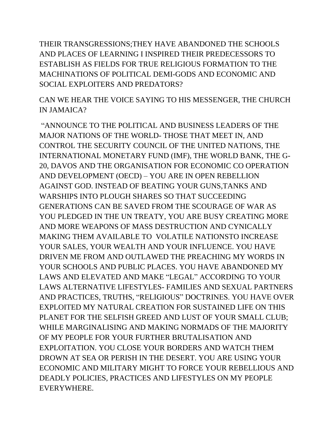THEIR TRANSGRESSIONS;THEY HAVE ABANDONED THE SCHOOLS AND PLACES OF LEARNING I INSPIRED THEIR PREDECESSORS TO ESTABLISH AS FIELDS FOR TRUE RELIGIOUS FORMATION TO THE MACHINATIONS OF POLITICAL DEMI-GODS AND ECONOMIC AND SOCIAL EXPLOITERS AND PREDATORS?

CAN WE HEAR THE VOICE SAYING TO HIS MESSENGER, THE CHURCH IN JAMAICA?

"ANNOUNCE TO THE POLITICAL AND BUSINESS LEADERS OF THE MAJOR NATIONS OF THE WORLD- THOSE THAT MEET IN, AND CONTROL THE SECURITY COUNCIL OF THE UNITED NATIONS, THE INTERNATIONAL MONETARY FUND (IMF), THE WORLD BANK, THE G-20, DAVOS AND THE ORGANISATION FOR ECONOMIC CO OPERATION AND DEVELOPMENT (OECD) – YOU ARE IN OPEN REBELLION AGAINST GOD. INSTEAD OF BEATING YOUR GUNS,TANKS AND WARSHIPS INTO PLOUGH SHARES SO THAT SUCCEEDING GENERATIONS CAN BE SAVED FROM THE SCOURAGE OF WAR AS YOU PLEDGED IN THE UN TREATY, YOU ARE BUSY CREATING MORE AND MORE WEAPONS OF MASS DESTRUCTION AND CYNICALLY MAKING THEM AVAILABLE TO VOLATILE NATIONSTO INCREASE YOUR SALES, YOUR WEALTH AND YOUR INFLUENCE. YOU HAVE DRIVEN ME FROM AND OUTLAWED THE PREACHING MY WORDS IN YOUR SCHOOLS AND PUBLIC PLACES. YOU HAVE ABANDONED MY LAWS AND ELEVATED AND MAKE "LEGAL" ACCORDING TO YOUR LAWS ALTERNATIVE LIFESTYLES- FAMILIES AND SEXUAL PARTNERS AND PRACTICES, TRUTHS, "RELIGIOUS" DOCTRINES. YOU HAVE OVER EXPLOITED MY NATURAL CREATION FOR SUSTAINED LIFE ON THIS PLANET FOR THE SELFISH GREED AND LUST OF YOUR SMALL CLUB; WHILE MARGINALISING AND MAKING NORMADS OF THE MAJORITY OF MY PEOPLE FOR YOUR FURTHER BRUTALISATION AND EXPLOITATION. YOU CLOSE YOUR BORDERS AND WATCH THEM DROWN AT SEA OR PERISH IN THE DESERT. YOU ARE USING YOUR ECONOMIC AND MILITARY MIGHT TO FORCE YOUR REBELLIOUS AND DEADLY POLICIES, PRACTICES AND LIFESTYLES ON MY PEOPLE EVERYWHERE.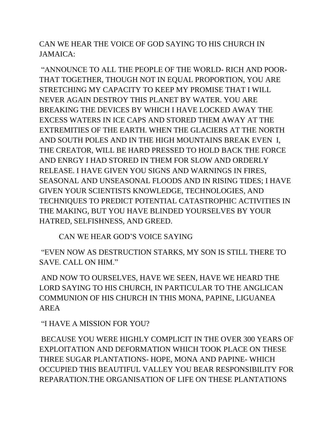CAN WE HEAR THE VOICE OF GOD SAYING TO HIS CHURCH IN JAMAICA:

"ANNOUNCE TO ALL THE PEOPLE OF THE WORLD- RICH AND POOR-THAT TOGETHER, THOUGH NOT IN EQUAL PROPORTION, YOU ARE STRETCHING MY CAPACITY TO KEEP MY PROMISE THAT I WILL NEVER AGAIN DESTROY THIS PLANET BY WATER. YOU ARE BREAKING THE DEVICES BY WHICH I HAVE LOCKED AWAY THE EXCESS WATERS IN ICE CAPS AND STORED THEM AWAY AT THE EXTREMITIES OF THE EARTH. WHEN THE GLACIERS AT THE NORTH AND SOUTH POLES AND IN THE HIGH MOUNTAINS BREAK EVEN I, THE CREATOR, WILL BE HARD PRESSED TO HOLD BACK THE FORCE AND ENRGY I HAD STORED IN THEM FOR SLOW AND ORDERLY RELEASE. I HAVE GIVEN YOU SIGNS AND WARNINGS IN FIRES, SEASONAL AND UNSEASONAL FLOODS AND IN RISING TIDES; I HAVE GIVEN YOUR SCIENTISTS KNOWLEDGE, TECHNOLOGIES, AND TECHNIQUES TO PREDICT POTENTIAL CATASTROPHIC ACTIVITIES IN THE MAKING, BUT YOU HAVE BLINDED YOURSELVES BY YOUR HATRED, SELFISHNESS, AND GREED.

CAN WE HEAR GOD'S VOICE SAYING

"EVEN NOW AS DESTRUCTION STARKS, MY SON IS STILL THERE TO SAVE. CALL ON HIM."

AND NOW TO OURSELVES, HAVE WE SEEN, HAVE WE HEARD THE LORD SAYING TO HIS CHURCH, IN PARTICULAR TO THE ANGLICAN COMMUNION OF HIS CHURCH IN THIS MONA, PAPINE, LIGUANEA AREA

"I HAVE A MISSION FOR YOU?

BECAUSE YOU WERE HIGHLY COMPLICIT IN THE OVER 300 YEARS OF EXPLOITATION AND DEFORMATION WHICH TOOK PLACE ON THESE THREE SUGAR PLANTATIONS- HOPE, MONA AND PAPINE- WHICH OCCUPIED THIS BEAUTIFUL VALLEY YOU BEAR RESPONSIBILITY FOR REPARATION.THE ORGANISATION OF LIFE ON THESE PLANTATIONS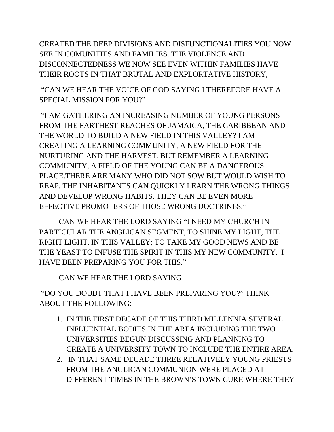CREATED THE DEEP DIVISIONS AND DISFUNCTIONALITIES YOU NOW SEE IN COMUNITIES AND FAMILIES. THE VIOLENCE AND DISCONNECTEDNESS WE NOW SEE EVEN WITHIN FAMILIES HAVE THEIR ROOTS IN THAT BRUTAL AND EXPLORTATIVE HISTORY,

"CAN WE HEAR THE VOICE OF GOD SAYING I THEREFORE HAVE A SPECIAL MISSION FOR YOU?"

"I AM GATHERING AN INCREASING NUMBER OF YOUNG PERSONS FROM THE FARTHEST REACHES OF JAMAICA, THE CARIBBEAN AND THE WORLD TO BUILD A NEW FIELD IN THIS VALLEY? I AM CREATING A LEARNING COMMUNITY; A NEW FIELD FOR THE NURTURING AND THE HARVEST. BUT REMEMBER A LEARNING COMMUNITY, A FIELD OF THE YOUNG CAN BE A DANGEROUS PLACE.THERE ARE MANY WHO DID NOT SOW BUT WOULD WISH TO REAP. THE INHABITANTS CAN QUICKLY LEARN THE WRONG THINGS AND DEVELOP WRONG HABITS. THEY CAN BE EVEN MORE EFFECTIVE PROMOTERS OF THOSE WRONG DOCTRINES."

CAN WE HEAR THE LORD SAYING "I NEED MY CHURCH IN PARTICULAR THE ANGLICAN SEGMENT, TO SHINE MY LIGHT, THE RIGHT LIGHT, IN THIS VALLEY; TO TAKE MY GOOD NEWS AND BE THE YEAST TO INFUSE THE SPIRIT IN THIS MY NEW COMMUNITY. I HAVE BEEN PREPARING YOU FOR THIS."

CAN WE HEAR THE LORD SAYING

"DO YOU DOUBT THAT I HAVE BEEN PREPARING YOU?" THINK ABOUT THE FOLLOWING:

- 1. IN THE FIRST DECADE OF THIS THIRD MILLENNIA SEVERAL INFLUENTIAL BODIES IN THE AREA INCLUDING THE TWO UNIVERSITIES BEGUN DISCUSSING AND PLANNING TO CREATE A UNIVERSITY TOWN TO INCLUDE THE ENTIRE AREA.
- 2. IN THAT SAME DECADE THREE RELATIVELY YOUNG PRIESTS FROM THE ANGLICAN COMMUNION WERE PLACED AT DIFFERENT TIMES IN THE BROWN'S TOWN CURE WHERE THEY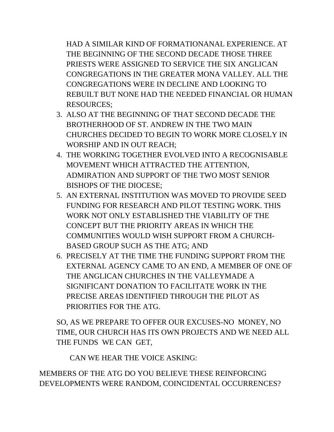HAD A SIMILAR KIND OF FORMATIONANAL EXPERIENCE. AT THE BEGINNING OF THE SECOND DECADE THOSE THREE PRIESTS WERE ASSIGNED TO SERVICE THE SIX ANGLICAN CONGREGATIONS IN THE GREATER MONA VALLEY. ALL THE CONGREGATIONS WERE IN DECLINE AND LOOKING TO REBUILT BUT NONE HAD THE NEEDED FINANCIAL OR HUMAN RESOURCES;

- 3. ALSO AT THE BEGINNING OF THAT SECOND DECADE THE BROTHERHOOD OF ST. ANDREW IN THE TWO MAIN CHURCHES DECIDED TO BEGIN TO WORK MORE CLOSELY IN WORSHIP AND IN OUT REACH;
- 4. THE WORKING TOGETHER EVOLVED INTO A RECOGNISABLE MOVEMENT WHICH ATTRACTED THE ATTENTION, ADMIRATION AND SUPPORT OF THE TWO MOST SENIOR BISHOPS OF THE DIOCESE;
- 5. AN EXTERNAL INSTITUTION WAS MOVED TO PROVIDE SEED FUNDING FOR RESEARCH AND PILOT TESTING WORK. THIS WORK NOT ONLY ESTABLISHED THE VIABILITY OF THE CONCEPT BUT THE PRIORITY AREAS IN WHICH THE COMMUNITIES WOULD WISH SUPPORT FROM A CHURCH-BASED GROUP SUCH AS THE ATG; AND
- 6. PRECISELY AT THE TIME THE FUNDING SUPPORT FROM THE EXTERNAL AGENCY CAME TO AN END, A MEMBER OF ONE OF THE ANGLICAN CHURCHES IN THE VALLEYMADE A SIGNIFICANT DONATION TO FACILITATE WORK IN THE PRECISE AREAS IDENTIFIED THROUGH THE PILOT AS PRIORITIES FOR THE ATG.

SO, AS WE PREPARE TO OFFER OUR EXCUSES-NO MONEY, NO TIME, OUR CHURCH HAS ITS OWN PROJECTS AND WE NEED ALL THE FUNDS WE CAN GET,

CAN WE HEAR THE VOICE ASKING:

MEMBERS OF THE ATG DO YOU BELIEVE THESE REINFORCING DEVELOPMENTS WERE RANDOM, COINCIDENTAL OCCURRENCES?